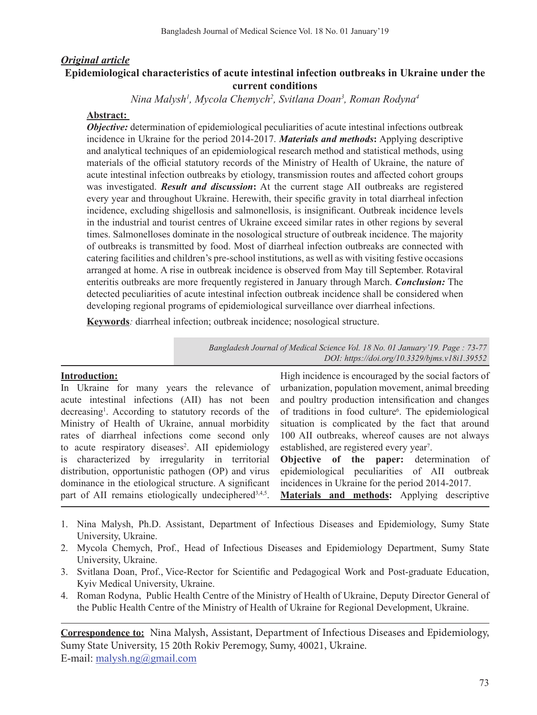# *Original article* **Epidemiological characteristics of acute intestinal infection outbreaks in Ukraine under the current conditions**

*Nina Malysh1 , Mycola Chemych2 , Svitlana Doan3 , Roman Rodyna4*

## **Abstract:**

*Objective:* determination of epidemiological peculiarities of acute intestinal infections outbreak incidence in Ukraine for the period 2014-2017. *Materials and methods***:** Applying descriptive and analytical techniques of an epidemiological research method and statistical methods, using materials of the official statutory records of the Ministry of Health of Ukraine, the nature of acute intestinal infection outbreaks by etiology, transmission routes and affected cohort groups was investigated. *Result and discussion***:** At the current stage AII outbreaks are registered every year and throughout Ukraine. Herewith, their specific gravity in total diarrheal infection incidence, excluding shigellosis and salmonellosis, is insignificant. Outbreak incidence levels in the industrial and tourist centres of Ukraine exceed similar rates in other regions by several times. Salmonelloses dominate in the nosological structure of outbreak incidence. The majority of outbreaks is transmitted by food. Most of diarrheal infection outbreaks are connected with catering facilities and children's pre-school institutions, as well as with visiting festive occasions arranged at home. A rise in outbreak incidence is observed from May till September. Rotaviral enteritis outbreaks are more frequently registered in January through March. *Conclusion:* The detected peculiarities of acute intestinal infection outbreak incidence shall be considered when developing regional programs of epidemiological surveillance over diarrheal infections.

**Keywords***:* diarrheal infection; outbreak incidence; nosological structure.

*Bangladesh Journal of Medical Science Vol. 18 No. 01 January'19. Page : 73-77 DOI: https://doi.org/10.3329/bjms.v18i1.39552*

### **Introduction:**

In Ukraine for many years the relevance of acute intestinal infections (AII) has not been decreasing<sup>1</sup>. According to statutory records of the Ministry of Health of Ukraine, annual morbidity rates of diarrheal infections come second only to acute respiratory diseases<sup>2</sup>. AII epidemiology is characterized by irregularity in territorial distribution, opportunistic pathogen (OP) and virus dominance in the etiological structure. A significant part of AII remains etiologically undeciphered<sup>3,4,5</sup>.

High incidence is encouraged by the social factors of urbanization, population movement, animal breeding and poultry production intensification and changes of traditions in food culture<sup>6</sup>. The epidemiological situation is complicated by the fact that around 100 AII outbreaks, whereof causes are not always established, are registered every year<sup>7</sup>.

**Objective of the paper:** determination of epidemiological peculiarities of AII outbreak incidences in Ukraine for the period 2014-2017.

**Materials and methods:** Applying descriptive

- 1. Nina Malysh, Ph.D. Assistant, Department of Infectious Diseases and Epidemiology, Sumy State University, Ukraine.
- 2. Mycola Chemych, Prof., Head of Infectious Diseases and Epidemiology Department, Sumy State University, Ukraine.
- 3. Svitlana Doan, Prof., Vice-Rector for Scientific and Pedagogical Work and Post-graduate Education, Kyiv Medical University, Ukraine.
- 4. Roman Rodyna, Public Health Centre of the Ministry of Health of Ukraine, Deputy Director General of the Public Health Centre of the Ministry of Health of Ukraine for Regional Development, Ukraine.

**Correspondence to:** Nina Malysh, Assistant, Department of Infectious Diseases and Epidemiology, Sumy State University, 15 20th Rokiv Peremogy, Sumy, 40021, Ukraine. E-mail: malysh.ng@gmail.com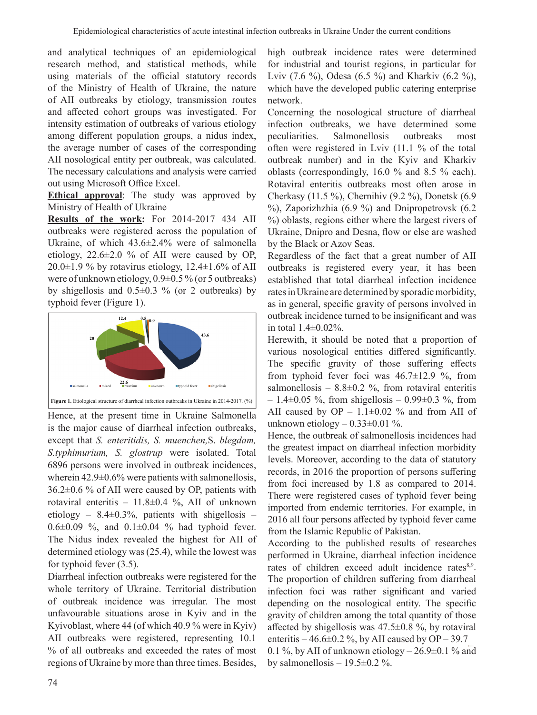and analytical techniques of an epidemiological research method, and statistical methods, while using materials of the official statutory records of the Ministry of Health of Ukraine, the nature of AII outbreaks by etiology, transmission routes and affected cohort groups was investigated. For intensity estimation of outbreaks of various etiology among different population groups, a nidus index, the average number of cases of the corresponding AII nosological entity per outbreak, was calculated. The necessary calculations and analysis were carried out using Microsoft Office Excel.

**Ethical approval**: The study was approved by Ministry of Health of Ukraine

**Results of the work:** For 2014-2017 434 AII outbreaks were registered across the population of Ukraine, of which 43.6±2.4% were of salmonella etiology,  $22.6\pm2.0$  % of AII were caused by OP,  $20.0\pm1.9$  % by rotavirus etiology,  $12.4\pm1.6$ % of AII were of unknown etiology,  $0.9\pm0.5\%$  (or 5 outbreaks) by shigellosis and  $0.5\pm0.3$  % (or 2 outbreaks) by typhoid fever (Figure 1).



Hence, at the present time in Ukraine Salmonella is the major cause of diarrheal infection outbreaks, except that *S. enteritidis, S. muenchen,*S. *blegdam, S.typhimurium, S. glostrup* were isolated. Total 6896 persons were involved in outbreak incidences, wherein  $42.9\pm0.6\%$  were patients with salmonellosis, 36.2±0.6 % of AII were caused by OP, patients with rotaviral enteritis – 11.8±0.4 %, AII of unknown etiology –  $8.4\pm0.3\%$ , patients with shigellosis –  $0.6\pm0.09$  %, and  $0.1\pm0.04$  % had typhoid fever. The Nidus index revealed the highest for AII of determined etiology was (25.4), while the lowest was for typhoid fever (3.5).

Diarrheal infection outbreaks were registered for the whole territory of Ukraine. Territorial distribution of outbreak incidence was irregular. The most unfavourable situations arose in Kyiv and in the Kyivoblast, where 44 (of which 40.9 % were in Kyiv) AII outbreaks were registered, representing 10.1 % of all outbreaks and exceeded the rates of most regions of Ukraine by more than three times. Besides, high outbreak incidence rates were determined for industrial and tourist regions, in particular for Lviv (7.6 %), Odesa (6.5 %) and Kharkiv (6.2 %), which have the developed public catering enterprise network.

Concerning the nosological structure of diarrheal infection outbreaks, we have determined some peculiarities. Salmonellosis outbreaks most often were registered in Lviv (11.1 % of the total outbreak number) and in the Kyiv and Kharkiv oblasts (correspondingly, 16.0 % and 8.5 % each). Rotaviral enteritis outbreaks most often arose in Cherkasy (11.5 %), Chernihiv (9.2 %), Donetsk (6.9 %), Zaporizhzhia (6.9 %) and Dnipropetrovsk (6.2 %) oblasts, regions either where the largest rivers of Ukraine, Dnipro and Desna, flow or else are washed by the Black or Azov Seas.

Regardless of the fact that a great number of AII outbreaks is registered every year, it has been established that total diarrheal infection incidence rates in Ukraine are determined by sporadic morbidity, as in general, specific gravity of persons involved in outbreak incidence turned to be insignificant and was in total 1.4±0.02%.

Herewith, it should be noted that a proportion of various nosological entities differed significantly. The specific gravity of those suffering effects from typhoid fever foci was 46.7±12.9 %, from salmonellosis –  $8.8\pm0.2$  %, from rotaviral enteritis  $-1.4\pm0.05$  %, from shigellosis  $-0.99\pm0.3$  %, from AII caused by  $OP - 1.1 \pm 0.02$  % and from AII of unknown etiology  $-0.33\pm0.01$  %.

Hence, the outbreak of salmonellosis incidences had the greatest impact on diarrheal infection morbidity levels. Moreover, according to the data of statutory records, in 2016 the proportion of persons suffering from foci increased by 1.8 as compared to 2014. There were registered cases of typhoid fever being imported from endemic territories. For example, in 2016 all four persons affected by typhoid fever came from the Islamic Republic of Pakistan.

According to the published results of researches performed in Ukraine, diarrheal infection incidence rates of children exceed adult incidence rates<sup>8,9</sup>. The proportion of children suffering from diarrheal infection foci was rather significant and varied depending on the nosological entity. The specific gravity of children among the total quantity of those affected by shigellosis was 47.5±0.8 %, by rotaviral enteritis – 46.6 $\pm$ 0.2 %, by AII caused by OP – 39.7 0.1 %, by AII of unknown etiology  $-26.9\pm0.1$  % and

by salmonellosis –  $19.5 \pm 0.2$  %.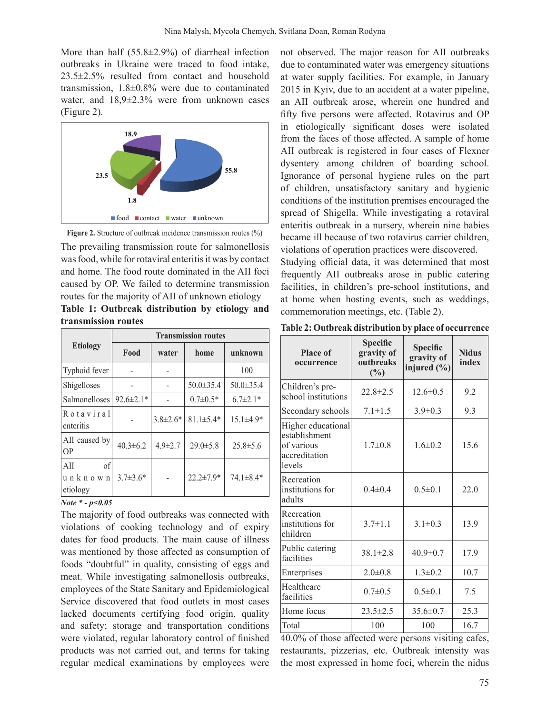More than half (55.8±2.9%) of diarrheal infection outbreaks in Ukraine were traced to food intake, 23.5±2.5% resulted from contact and household transmission, 1.8±0.8% were due to contaminated water, and 18,9±2.3% were from unknown cases (Figure 2).





The prevailing transmission route for salmonellosis was food, while for rotaviral enteritis it was by contact and home. The food route dominated in the AII foci caused by OP. We failed to determine transmission routes for the majority of AII of unknown etiology

|  |                     | Table 1: Outbreak distribution by etiology and |  |  |
|--|---------------------|------------------------------------------------|--|--|
|  | transmission routes |                                                |  |  |

|                                  | <b>Transmission routes</b> |                |                 |                 |  |  |  |
|----------------------------------|----------------------------|----------------|-----------------|-----------------|--|--|--|
| <b>Etiology</b>                  | Food                       | water          | home            | unknown         |  |  |  |
| Typhoid fever                    |                            |                |                 | 100             |  |  |  |
| Shigelloses                      |                            |                | $50.0 \pm 35.4$ | $50.0 \pm 35.4$ |  |  |  |
| <b>Salmonelloses</b>             | $92.6 \pm 2.1*$            |                | $0.7 \pm 0.5*$  | $6.7 \pm 2.1*$  |  |  |  |
| Rotaviral<br>enteritis           |                            | $3.8 \pm 2.6*$ | $81.1 \pm 5.4*$ | $15.1 \pm 4.9*$ |  |  |  |
| AII caused by<br><b>OP</b>       | $40.3 \pm 6.2$             | $4.9 \pm 2.7$  | $29.0 \pm 5.8$  | $25.8 \pm 5.6$  |  |  |  |
| of<br>AII<br>unknown<br>etiology | $3.7 \pm 3.6*$             |                | $22.2 \pm 7.9*$ | $74.1 \pm 8.4*$ |  |  |  |

#### *Note \* - р<0.05*

The majority of food outbreaks was connected with violations of cooking technology and of expiry dates for food products. The main cause of illness was mentioned by those affected as consumption of foods "doubtful" in quality, consisting of eggs and meat. While investigating salmonellosis outbreaks, employees of the State Sanitary and Epidemiological Service discovered that food outlets in most cases lacked documents certifying food origin, quality and safety; storage and transportation conditions were violated, regular laboratory control of finished products was not carried out, and terms for taking regular medical examinations by employees were

not observed. The major reason for AII outbreaks due to contaminated water was emergency situations at water supply facilities. For example, in January 2015 in Kyiv, due to an accident at a water pipeline, an AII outbreak arose, wherein one hundred and fifty five persons were affected. Rotavirus and OP in etiologically significant doses were isolated from the faces of those affected. A sample of home AII outbreak is registered in four cases of Flexner dysentery among children of boarding school. Ignorance of personal hygiene rules on the part of children, unsatisfactory sanitary and hygienic conditions of the institution premises encouraged the spread of Shigella. While investigating a rotaviral enteritis outbreak in a nursery, wherein nine babies became ill because of two rotavirus carrier children, violations of operation practices were discovered.

Studying official data, it was determined that most frequently AII outbreaks arose in public catering facilities, in children's pre-school institutions, and at home when hosting events, such as weddings, commemoration meetings, etc. (Table 2).

| <b>Place of</b><br>occurrence                                                | <b>Specific</b><br>gravity of<br>outbreaks<br>(%) | Specific<br>gravity of<br>injured $(\% )$ | <b>Nidus</b><br>index |
|------------------------------------------------------------------------------|---------------------------------------------------|-------------------------------------------|-----------------------|
| Children's pre-<br>school institutions                                       | $22.8 \pm 2.5$                                    | $12.6 \pm 0.5$                            | 9.2                   |
| Secondary schools                                                            | $7.1 \pm 1.5$                                     | $3.9 \pm 0.3$                             | 9.3                   |
| Higher educational<br>establishment<br>of various<br>accreditation<br>levels | $1.7 \pm 0.8$                                     | $1.6 \pm 0.2$                             | 15.6                  |
| Recreation<br>institutions for<br>adults                                     | $0.4 \pm 0.4$                                     | $0.5 \pm 0.1$                             | 22.0                  |
| Recreation<br>institutions for<br>children                                   | $3.7 \pm 1.1$                                     | $3.1 \pm 0.3$                             | 13.9                  |
| Public catering<br>facilities                                                | $38.1 \pm 2.8$                                    | $40.9 \pm 0.7$                            | 17.9                  |
| Enterprises                                                                  | $2.0 \pm 0.8$                                     | $1.3 \pm 0.2$                             | 10.7                  |
| Healthcare<br>facilities                                                     | $0.7 \pm 0.5$                                     | $0.5 \pm 0.1$                             | 7.5                   |
| Home focus                                                                   | $23.5 \pm 2.5$                                    | $35.6 \pm 0.7$                            | 25.3                  |
| Total                                                                        | 100                                               | 100                                       | 16.7                  |

40.0% of those affected were persons visiting cafes, restaurants, pizzerias, etc. Outbreak intensity was the most expressed in home foci, wherein the nidus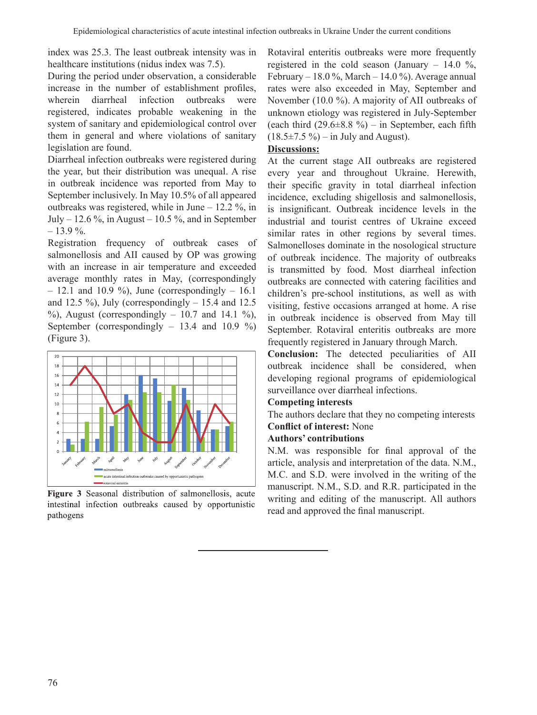index was 25.3. The least outbreak intensity was in healthcare institutions (nidus index was 7.5).

During the period under observation, a considerable increase in the number of establishment profiles, wherein diarrheal infection outbreaks were registered, indicates probable weakening in the system of sanitary and epidemiological control over them in general and where violations of sanitary legislation are found.

Diarrheal infection outbreaks were registered during the year, but their distribution was unequal. A rise in outbreak incidence was reported from May to September inclusively. In May 10.5% of all appeared outbreaks was registered, while in June – 12.2 %, in July – 12.6 %, in August – 10.5 %, and in September  $-13.9\%$ .

Registration frequency of outbreak cases of salmonellosis and AII caused by OP was growing with an increase in air temperature and exceeded average monthly rates in May, (correspondingly  $-12.1$  and 10.9 %), June (correspondingly  $-16.1$ and 12.5 %), July (correspondingly  $- 15.4$  and 12.5  $%$ , August (correspondingly – 10.7 and 14.1 %), September (correspondingly  $-13.4$  and  $10.9\%$ ) (Figure 3).



Figure 3 Seasonal distribution of salmonellosis, acute intestinal infection outbreaks caused by opportunistic pathogens

Rotaviral enteritis outbreaks were more frequently registered in the cold season (January  $-14.0 \%$ , February – 18.0 %, March – 14.0 %). Average annual rates were also exceeded in May, September and November (10.0 %). A majority of AII outbreaks of unknown etiology was registered in July-September (each third  $(29.6\pm8.8\%)$  – in September, each fifth  $(18.5\pm7.5\%) - in July and August).$ 

## **Discussions:**

At the current stage AII outbreaks are registered every year and throughout Ukraine. Herewith, their specific gravity in total diarrheal infection incidence, excluding shigellosis and salmonellosis, is insignificant. Outbreak incidence levels in the industrial and tourist centres of Ukraine exceed similar rates in other regions by several times. Salmonelloses dominate in the nosological structure of outbreak incidence. The majority of outbreaks is transmitted by food. Most diarrheal infection outbreaks are connected with catering facilities and children's pre-school institutions, as well as with visiting, festive occasions arranged at home. A rise in outbreak incidence is observed from May till September. Rotaviral enteritis outbreaks are more frequently registered in January through March.

**Conclusion:** The detected peculiarities of AII outbreak incidence shall be considered, when developing regional programs of epidemiological surveillance over diarrheal infections.

## **Competing interests**

The authors declare that they no competing interests **Conflict of interest:** None

### **Authors' contributions**

N.M. was responsible for final approval of the article, analysis and interpretation of the data. N.M., M.C. and S.D. were involved in the writing of the manuscript. N.M., S.D. and R.R. participated in the writing and editing of the manuscript. All authors read and approved the final manuscript.